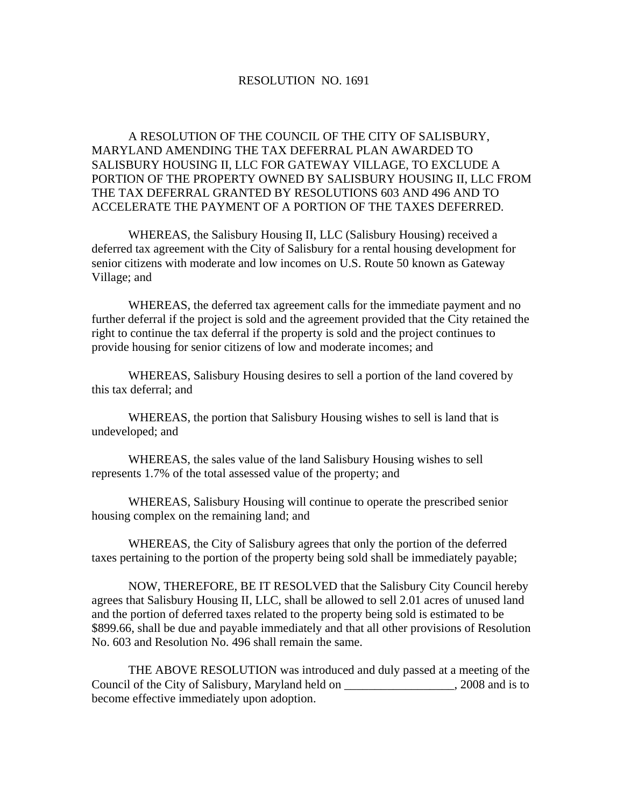## RESOLUTION NO. 1691

 A RESOLUTION OF THE COUNCIL OF THE CITY OF SALISBURY, MARYLAND AMENDING THE TAX DEFERRAL PLAN AWARDED TO SALISBURY HOUSING II, LLC FOR GATEWAY VILLAGE, TO EXCLUDE A PORTION OF THE PROPERTY OWNED BY SALISBURY HOUSING II, LLC FROM THE TAX DEFERRAL GRANTED BY RESOLUTIONS 603 AND 496 AND TO ACCELERATE THE PAYMENT OF A PORTION OF THE TAXES DEFERRED.

 WHEREAS, the Salisbury Housing II, LLC (Salisbury Housing) received a deferred tax agreement with the City of Salisbury for a rental housing development for senior citizens with moderate and low incomes on U.S. Route 50 known as Gateway Village; and

 WHEREAS, the deferred tax agreement calls for the immediate payment and no further deferral if the project is sold and the agreement provided that the City retained the right to continue the tax deferral if the property is sold and the project continues to provide housing for senior citizens of low and moderate incomes; and

 WHEREAS, Salisbury Housing desires to sell a portion of the land covered by this tax deferral; and

 WHEREAS, the portion that Salisbury Housing wishes to sell is land that is undeveloped; and

 WHEREAS, the sales value of the land Salisbury Housing wishes to sell represents 1.7% of the total assessed value of the property; and

 WHEREAS, Salisbury Housing will continue to operate the prescribed senior housing complex on the remaining land; and

 WHEREAS, the City of Salisbury agrees that only the portion of the deferred taxes pertaining to the portion of the property being sold shall be immediately payable;

 NOW, THEREFORE, BE IT RESOLVED that the Salisbury City Council hereby agrees that Salisbury Housing II, LLC, shall be allowed to sell 2.01 acres of unused land and the portion of deferred taxes related to the property being sold is estimated to be \$899.66, shall be due and payable immediately and that all other provisions of Resolution No. 603 and Resolution No. 496 shall remain the same.

 THE ABOVE RESOLUTION was introduced and duly passed at a meeting of the Council of the City of Salisbury, Maryland held on \_\_\_\_\_\_\_\_\_\_\_\_\_\_\_\_\_\_, 2008 and is to become effective immediately upon adoption.